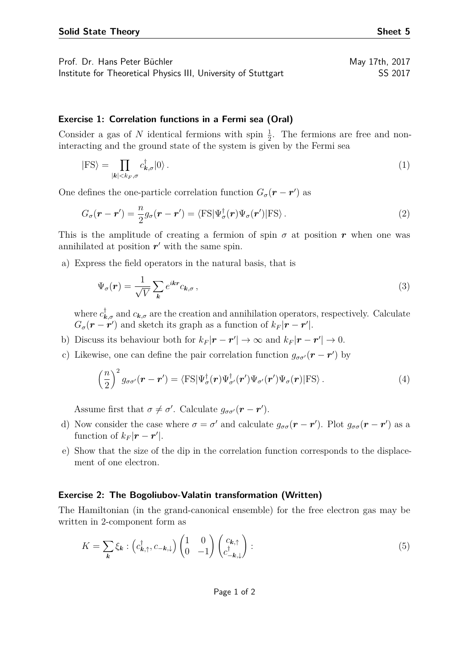Prof. Dr. Hans Peter Büchler May 17th, 2017

Institute for Theoretical Physics III, University of Stuttgart SS 2017

## **Exercise 1: Correlation functions in a Fermi sea (Oral)**

Consider a gas of N identical fermions with spin  $\frac{1}{2}$ . The fermions are free and noninteracting and the ground state of the system is given by the Fermi sea

$$
|\text{FS}\rangle = \prod_{|\mathbf{k}| < k_F, \sigma} c_{\mathbf{k}, \sigma}^{\dagger} |0\rangle \,. \tag{1}
$$

One defines the one-particle correlation function  $G_{\sigma}(\mathbf{r} - \mathbf{r}')$  as

$$
G_{\sigma}(\mathbf{r} - \mathbf{r}') = \frac{n}{2} g_{\sigma}(\mathbf{r} - \mathbf{r}') = \langle \mathrm{FS} | \Psi_{\sigma}^{\dagger}(\mathbf{r}) \Psi_{\sigma}(\mathbf{r}') | \mathrm{FS} \rangle.
$$
 (2)

This is the amplitude of creating a fermion of spin  $\sigma$  at position *r* when one was annihilated at position  $r'$  with the same spin.

a) Express the field operators in the natural basis, that is

$$
\Psi_{\sigma}(\boldsymbol{r}) = \frac{1}{\sqrt{V}} \sum_{\boldsymbol{k}} e^{i\boldsymbol{k}\boldsymbol{r}} c_{\boldsymbol{k},\sigma}, \qquad (3)
$$

where  $c^{\dagger}_{\mathbf{k},\sigma}$  and  $c_{\mathbf{k},\sigma}$  are the creation and annihilation operators, respectively. Calculate  $G_{\sigma}(\mathbf{r} - \mathbf{r}')$  and sketch its graph as a function of  $k_F |\mathbf{r} - \mathbf{r}'|$ .

- b) Discuss its behaviour both for  $k_F|\mathbf{r} \mathbf{r}'| \to \infty$  and  $k_F|\mathbf{r} \mathbf{r}'| \to 0$ .
- c) Likewise, one can define the pair correlation function  $g_{\sigma\sigma'}(\mathbf{r}-\mathbf{r}')$  by

$$
\left(\frac{n}{2}\right)^2 g_{\sigma\sigma'}(\mathbf{r}-\mathbf{r}') = \langle \mathrm{FS} | \Psi_{\sigma}^{\dagger}(\mathbf{r}) \Psi_{\sigma'}^{\dagger}(\mathbf{r}') \Psi_{\sigma'}(\mathbf{r}') \Psi_{\sigma}(\mathbf{r}) | \mathrm{FS} \rangle. \tag{4}
$$

Assume first that  $\sigma \neq \sigma'$ . Calculate  $g_{\sigma \sigma'}(\mathbf{r} - \mathbf{r}')$ .

- d) Now consider the case where  $\sigma = \sigma'$  and calculate  $g_{\sigma\sigma}(\mathbf{r} \mathbf{r}')$ . Plot  $g_{\sigma\sigma}(\mathbf{r} \mathbf{r}')$  as a function of  $k_F|\mathbf{r} - \mathbf{r}'|$ .
- e) Show that the size of the dip in the correlation function corresponds to the displacement of one electron.

## **Exercise 2: The Bogoliubov-Valatin transformation (Written)**

The Hamiltonian (in the grand-canonical ensemble) for the free electron gas may be written in 2-component form as

$$
K = \sum_{\mathbf{k}} \xi_{\mathbf{k}} : \left( c^{\dagger}_{\mathbf{k}, \uparrow}, c_{-\mathbf{k}, \downarrow} \right) \begin{pmatrix} 1 & 0 \\ 0 & -1 \end{pmatrix} \begin{pmatrix} c_{\mathbf{k}, \uparrow} \\ c^{\dagger}_{-\mathbf{k}, \downarrow} \end{pmatrix} : \tag{5}
$$